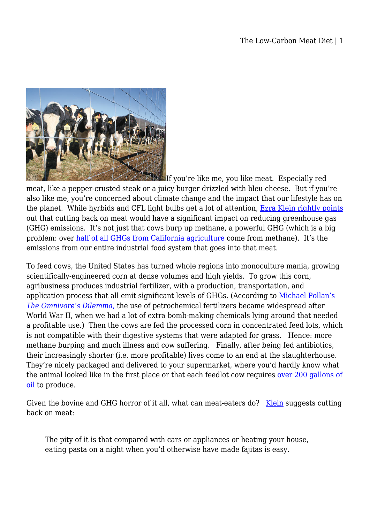

If you're like me, you like meat. Especially red meat, like a pepper-crusted steak or a juicy burger drizzled with bleu cheese. But if you're also like me, you're concerned about climate change and the impact that our lifestyle has on the planet. While hyrbids and CFL light bulbs get a lot of attention, [Ezra Klein rightly points](http://www.washingtonpost.com/wp-dyn/content/article/2009/07/28/AR2009072800390.html) out that cutting back on meat would have a significant impact on reducing greenhouse gas (GHG) emissions. It's not just that cows burp up methane, a powerful GHG (which is a big problem: over [half of all GHGs from California agriculture c](http://www.etaac.org/jsp/genericdoc.jsp)ome from methane). It's the emissions from our entire industrial food system that goes into that meat.

To feed cows, the United States has turned whole regions into monoculture mania, growing scientifically-engineered corn at dense volumes and high yields. To grow this corn, agribusiness produces industrial fertilizer, with a production, transportation, and application process that all emit significant levels of GHGs. (According to [Michael Pollan's](http://www.amazon.com/Omnivores-Dilemma-Natural-History-Meals/dp/1594200823) *[The Omnivore's Dilemma](http://www.amazon.com/Omnivores-Dilemma-Natural-History-Meals/dp/1594200823)*[,](http://www.amazon.com/Omnivores-Dilemma-Natural-History-Meals/dp/1594200823) the use of petrochemical fertilizers became widespread after World War II, when we had a lot of extra bomb-making chemicals lying around that needed a profitable use.) Then the cows are fed the processed corn in concentrated feed lots, which is not compatible with their digestive systems that were adapted for grass. Hence: more methane burping and much illness and cow suffering. Finally, after being fed antibiotics, their increasingly shorter (i.e. more profitable) lives come to an end at the slaughterhouse. They're nicely packaged and delivered to your supermarket, where you'd hardly know what the animal looked like in the first place or that each feedlot cow requires [over 200 gallons of](http://www.whiteoakpastures.com/article-mideastoil.html) [oil](http://www.whiteoakpastures.com/article-mideastoil.html) to produce.

Given the bovine and GHG horror of it all, what can meat-eaters do? [Klein](http://www.washingtonpost.com/wp-dyn/content/article/2009/07/28/AR2009072800390.html) suggests cutting back on meat:

The pity of it is that compared with cars or appliances or heating your house, eating pasta on a night when you'd otherwise have made fajitas is easy.